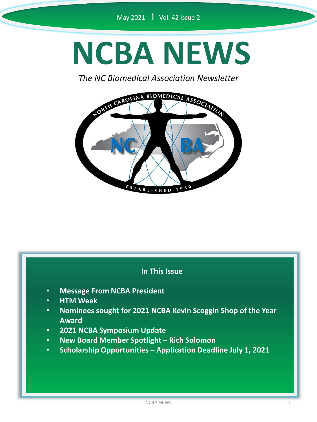# **NCBA NEWS**

*The NC Biomedical Association Newsletter*



#### **In This Issue**

- **Message From NCBA President**
- **HTM Week**
- **Nominees sought for 2021 NCBA Kevin Scoggin Shop of the Year Award**
- **2021 NCBA Symposium Update**
- **New Board Member Spotlight – Rich Solomon**
- **Scholarship Opportunities – Application Deadline July 1, 2021**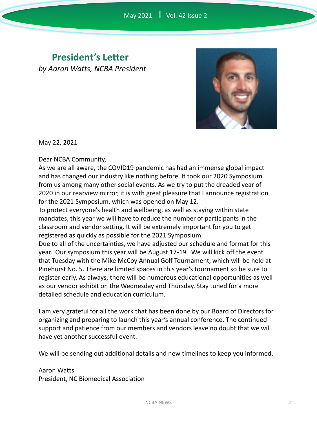## **President's Letter** *by Aaron Watts, NCBA President*



May 22, 2021

Dear NCBA Community,

As we are all aware, the COVID19 pandemic has had an immense global impact and has changed our industry like nothing before. It took our 2020 Symposium from us among many other social events. As we try to put the dreaded year of 2020 in our rearview mirror, it is with great pleasure that I announce registration for the 2021 Symposium, which was opened on May 12.

To protect everyone's health and wellbeing, as well as staying within state mandates, this year we will have to reduce the number of participants in the classroom and vendor setting. It will be extremely important for you to get registered as quickly as possible for the 2021 Symposium.

Due to all of the uncertainties, we have adjusted our schedule and format for this year. Our symposium this year will be August 17-19. We will kick off the event that Tuesday with the Mike McCoy Annual Golf Tournament, which will be held at Pinehurst No. 5. There are limited spaces in this year's tournament so be sure to register early. As always, there will be numerous educational opportunities as well as our vendor exhibit on the Wednesday and Thursday. Stay tuned for a more detailed schedule and education curriculum.

I am very grateful for all the work that has been done by our Board of Directors for organizing and preparing to launch this year's annual conference. The continued support and patience from our members and vendors leave no doubt that we will have yet another successful event.

We will be sending out additional details and new timelines to keep you informed.

Aaron Watts President, NC Biomedical Association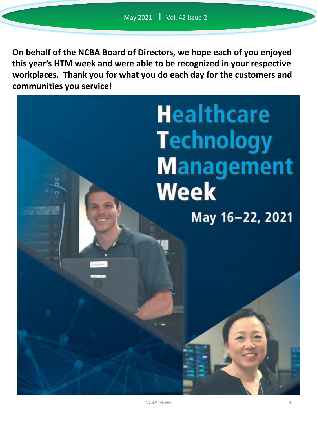**On behalf of the NCBA Board of Directors, we hope each of you enjoyed this year's HTM week and were able to be recognized in your respective workplaces. Thank you for what you do each day for the customers and communities you service!**

> **Healthcare Technology Management Week** May 16-22, 2021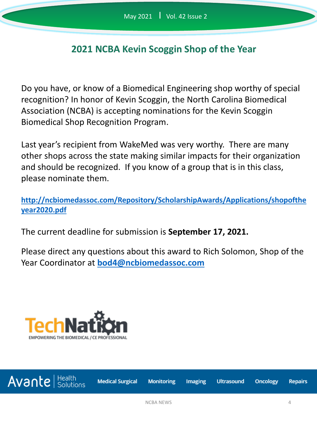## **2021 NCBA Kevin Scoggin Shop of the Year**

Do you have, or know of a Biomedical Engineering shop worthy of special recognition? In honor of Kevin Scoggin, the North Carolina Biomedical Association (NCBA) is accepting nominations for the Kevin Scoggin Biomedical Shop Recognition Program.

Last year's recipient from WakeMed was very worthy. There are many other shops across the state making similar impacts for their organization and should be recognized. If you know of a group that is in this class, please nominate them.

**[http://ncbiomedassoc.com/Repository/ScholarshipAwards/Applications/shopofthe](http://ncbiomedassoc.com/Repository/ScholarshipAwards/Applications/shopoftheyear2020.pdf) year2020.pdf**

The current deadline for submission is **September 17, 2021.**

Please direct any questions about this award to Rich Solomon, Shop of the Year Coordinator at **[bod4@ncbiomedassoc.com](mailto:bod4@ncbiomedassoc.com)**

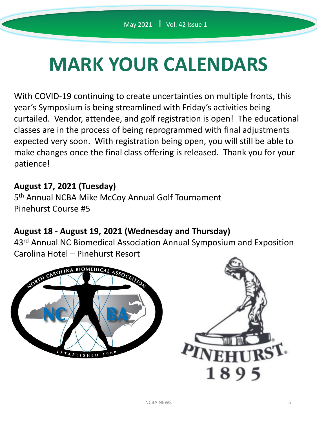# **MARK YOUR CALENDARS**

With COVID-19 continuing to create uncertainties on multiple fronts, this year's Symposium is being streamlined with Friday's activities being curtailed. Vendor, attendee, and golf registration is open! The educational classes are in the process of being reprogrammed with final adjustments expected very soon. With registration being open, you will still be able to make changes once the final class offering is released. Thank you for your patience!

#### **August 17, 2021 (Tuesday)**

5<sup>th</sup> Annual NCBA Mike McCoy Annual Golf Tournament Pinehurst Course #5

#### **August 18 - August 19, 2021 (Wednesday and Thursday)**

43<sup>rd</sup> Annual NC Biomedical Association Annual Symposium and Exposition Carolina Hotel – Pinehurst Resort



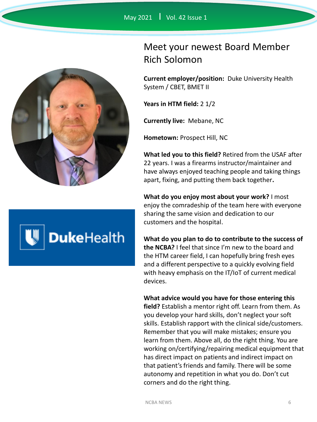



# Meet your newest Board Member Rich Solomon

**Current employer/position:** Duke University Health System / CBET, BMET II

**Years in HTM field:** 2 1/2

**Currently live:** Mebane, NC

**Hometown:** Prospect Hill, NC

**What led you to this field?** Retired from the USAF after 22 years. I was a firearms instructor/maintainer and have always enjoyed teaching people and taking things apart, fixing, and putting them back together**.**

**What do you enjoy most about your work?** I most enjoy the comradeship of the team here with everyone sharing the same vision and dedication to our customers and the hospital.

**What do you plan to do to contribute to the success of the NCBA?** I feel that since I'm new to the board and the HTM career field, I can hopefully bring fresh eyes and a different perspective to a quickly evolving field with heavy emphasis on the IT/IoT of current medical devices.

**What advice would you have for those entering this field?** Establish a mentor right off. Learn from them. As you develop your hard skills, don't neglect your soft skills. Establish rapport with the clinical side/customers. Remember that you will make mistakes; ensure you learn from them. Above all, do the right thing. You are working on/certifying/repairing medical equipment that has direct impact on patients and indirect impact on that patient's friends and family. There will be some autonomy and repetition in what you do. Don't cut corners and do the right thing.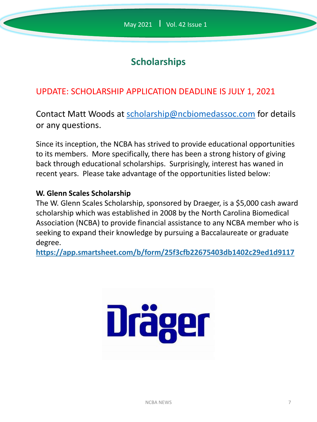# **Scholarships**

# UPDATE: SCHOLARSHIP APPLICATION DEADLINE IS JULY 1, 2021

Contact Matt Woods at [scholarship@ncbiomedassoc.com](mailto:scholarship@ncbiomedassoc.com) for details or any questions.

Since its inception, the NCBA has strived to provide educational opportunities to its members. More specifically, there has been a strong history of giving back through educational scholarships. Surprisingly, interest has waned in recent years. Please take advantage of the opportunities listed below:

#### **W. Glenn Scales Scholarship**

The W. Glenn Scales Scholarship, sponsored by Draeger, is a \$5,000 cash award scholarship which was established in 2008 by the North Carolina Biomedical Association (NCBA) to provide financial assistance to any NCBA member who is seeking to expand their knowledge by pursuing a Baccalaureate or graduate degree.

**https://app.smartsheet.com/b/form/25f3cfb22675403db1402c29ed1d9117**